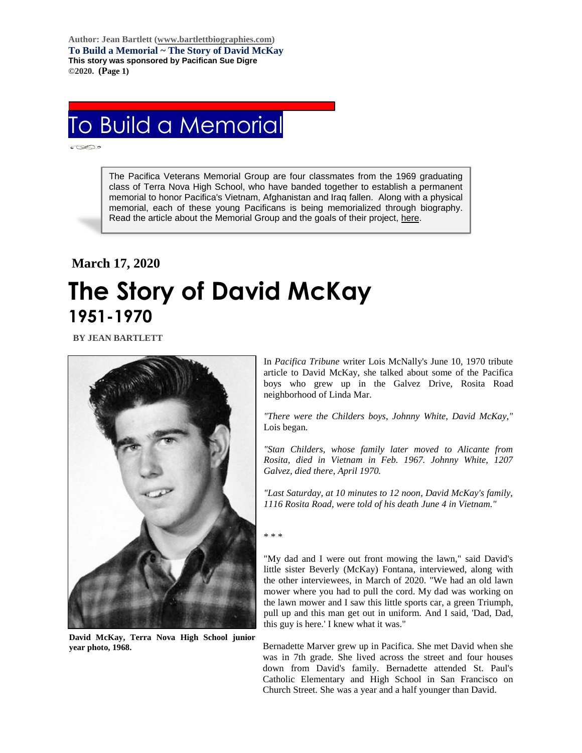**Author: Jean Bartlett [\(www.bartlettbiographies.com\)](http://www.bartlettbiographies.com/) To Build a Memorial ~ The Story of David McKay This story was sponsored by Pacifican Sue Digre ©2020. (Page 1)**

## To Build a Memorial

The Pacifica Veterans Memorial Group are four classmates from the 1969 graduating class of Terra Nova High School, who have banded together to establish a permanent memorial to honor Pacifica's Vietnam, Afghanistan and Iraq fallen. Along with a physical memorial, each of these young Pacificans is being memorialized through biography. Read the article about the Memorial Group and the goals of their project, [here.](https://46d14119-b42d-469c-887f-083db2a10fe7.filesusr.com/ugd/5ea9c3_694b61f9c88d4750bf1a520233e8f35f.pdf)

## **March 17, 2020 The Story of David McKay 1951-1970**

 **BY JEAN BARTLETT**



**David McKay, Terra Nova High School junior year photo, 1968.**

In *Pacifica Tribune* writer Lois McNally's June 10, 1970 tribute article to David McKay, she talked about some of the Pacifica boys who grew up in the Galvez Drive, Rosita Road neighborhood of Linda Mar.

*"There were the Childers boys, Johnny White, David McKay,"*  Lois began.

*"Stan Childers, whose family later moved to Alicante from Rosita, died in Vietnam in Feb. 1967. Johnny White, 1207 Galvez, died there, April 1970.*

*"Last Saturday, at 10 minutes to 12 noon, David McKay's family, 1116 Rosita Road, were told of his death June 4 in Vietnam."*

## \* \* \*

"My dad and I were out front mowing the lawn," said David's little sister Beverly (McKay) Fontana, interviewed, along with the other interviewees, in March of 2020. "We had an old lawn mower where you had to pull the cord. My dad was working on the lawn mower and I saw this little sports car, a green Triumph, pull up and this man get out in uniform. And I said, 'Dad, Dad, this guy is here.' I knew what it was."

Bernadette Marver grew up in Pacifica. She met David when she was in 7th grade. She lived across the street and four houses down from David's family. Bernadette attended St. Paul's Catholic Elementary and High School in San Francisco on Church Street. She was a year and a half younger than David.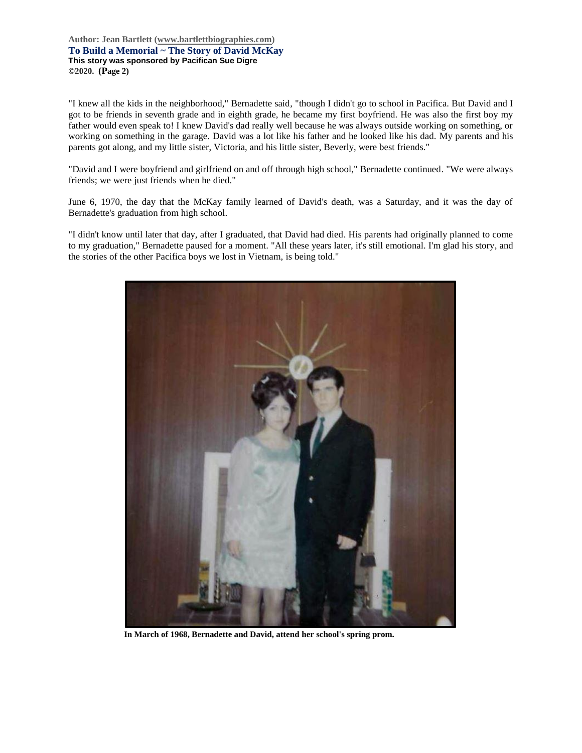**Author: Jean Bartlett [\(www.bartlettbiographies.com\)](http://www.bartlettbiographies.com/) To Build a Memorial ~ The Story of David McKay This story was sponsored by Pacifican Sue Digre ©2020. (Page 2)**

"I knew all the kids in the neighborhood," Bernadette said, "though I didn't go to school in Pacifica. But David and I got to be friends in seventh grade and in eighth grade, he became my first boyfriend. He was also the first boy my father would even speak to! I knew David's dad really well because he was always outside working on something, or working on something in the garage. David was a lot like his father and he looked like his dad. My parents and his parents got along, and my little sister, Victoria, and his little sister, Beverly, were best friends."

"David and I were boyfriend and girlfriend on and off through high school," Bernadette continued. "We were always friends; we were just friends when he died."

June 6, 1970, the day that the McKay family learned of David's death, was a Saturday, and it was the day of Bernadette's graduation from high school.

"I didn't know until later that day, after I graduated, that David had died. His parents had originally planned to come to my graduation," Bernadette paused for a moment. "All these years later, it's still emotional. I'm glad his story, and the stories of the other Pacifica boys we lost in Vietnam, is being told."



**In March of 1968, Bernadette and David, attend her school's spring prom.**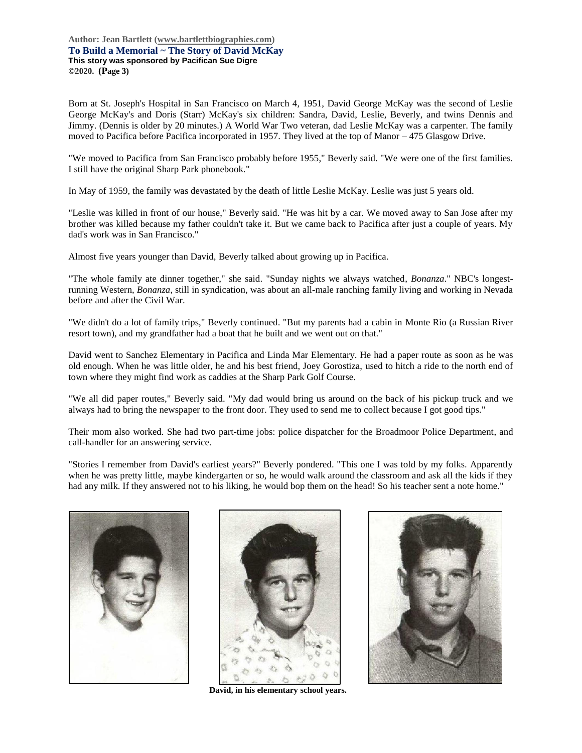**Author: Jean Bartlett [\(www.bartlettbiographies.com\)](http://www.bartlettbiographies.com/) To Build a Memorial ~ The Story of David McKay This story was sponsored by Pacifican Sue Digre ©2020. (Page 3)**

Born at St. Joseph's Hospital in San Francisco on March 4, 1951, David George McKay was the second of Leslie George McKay's and Doris (Starr) McKay's six children: Sandra, David, Leslie, Beverly, and twins Dennis and Jimmy. (Dennis is older by 20 minutes.) A World War Two veteran, dad Leslie McKay was a carpenter. The family moved to Pacifica before Pacifica incorporated in 1957. They lived at the top of Manor – 475 Glasgow Drive.

"We moved to Pacifica from San Francisco probably before 1955," Beverly said. "We were one of the first families. I still have the original Sharp Park phonebook."

In May of 1959, the family was devastated by the death of little Leslie McKay. Leslie was just 5 years old.

"Leslie was killed in front of our house," Beverly said. "He was hit by a car. We moved away to San Jose after my brother was killed because my father couldn't take it. But we came back to Pacifica after just a couple of years. My dad's work was in San Francisco."

Almost five years younger than David, Beverly talked about growing up in Pacifica.

"The whole family ate dinner together," she said. "Sunday nights we always watched, *Bonanza*." NBC's longestrunning Western, *Bonanza*, still in syndication, was about an all-male ranching family living and working in Nevada before and after the Civil War.

"We didn't do a lot of family trips," Beverly continued. "But my parents had a cabin in Monte Rio (a Russian River resort town), and my grandfather had a boat that he built and we went out on that."

David went to Sanchez Elementary in Pacifica and Linda Mar Elementary. He had a paper route as soon as he was old enough. When he was little older, he and his best friend, Joey Gorostiza, used to hitch a ride to the north end of town where they might find work as caddies at the Sharp Park Golf Course.

"We all did paper routes," Beverly said. "My dad would bring us around on the back of his pickup truck and we always had to bring the newspaper to the front door. They used to send me to collect because I got good tips."

Their mom also worked. She had two part-time jobs: police dispatcher for the Broadmoor Police Department, and call-handler for an answering service.

"Stories I remember from David's earliest years?" Beverly pondered. "This one I was told by my folks. Apparently when he was pretty little, maybe kindergarten or so, he would walk around the classroom and ask all the kids if they had any milk. If they answered not to his liking, he would bop them on the head! So his teacher sent a note home."





**David, in his elementary school years.**

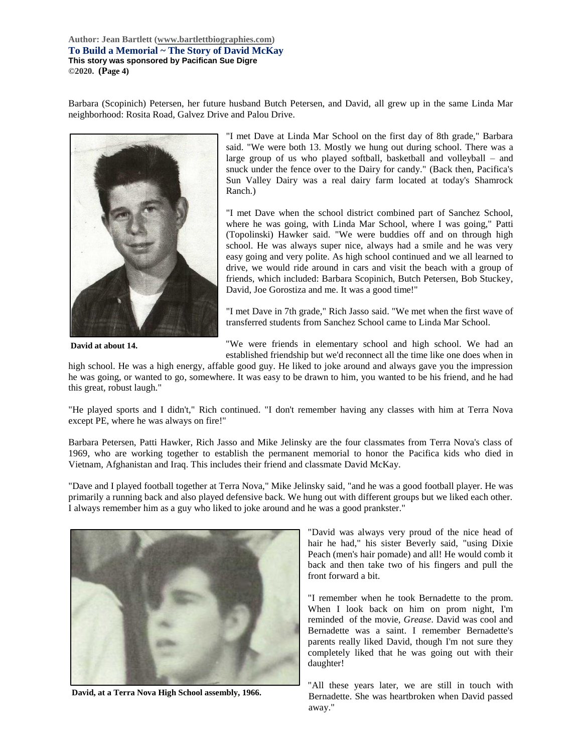**Author: Jean Bartlett [\(www.bartlettbiographies.com\)](http://www.bartlettbiographies.com/) To Build a Memorial ~ The Story of David McKay This story was sponsored by Pacifican Sue Digre ©2020. (Page 4)**

Barbara (Scopinich) Petersen, her future husband Butch Petersen, and David, all grew up in the same Linda Mar neighborhood: Rosita Road, Galvez Drive and Palou Drive.



**David at about 14.**

"I met Dave at Linda Mar School on the first day of 8th grade," Barbara said. "We were both 13. Mostly we hung out during school. There was a large group of us who played softball, basketball and volleyball – and snuck under the fence over to the Dairy for candy." (Back then, Pacifica's Sun Valley Dairy was a real dairy farm located at today's Shamrock Ranch.)

"I met Dave when the school district combined part of Sanchez School, where he was going, with Linda Mar School, where I was going," Patti (Topolinski) Hawker said. "We were buddies off and on through high school. He was always super nice, always had a smile and he was very easy going and very polite. As high school continued and we all learned to drive, we would ride around in cars and visit the beach with a group of friends, which included: Barbara Scopinich, Butch Petersen, Bob Stuckey, David, Joe Gorostiza and me. It was a good time!"

"I met Dave in 7th grade," Rich Jasso said. "We met when the first wave of transferred students from Sanchez School came to Linda Mar School.

"We were friends in elementary school and high school. We had an established friendship but we'd reconnect all the time like one does when in

high school. He was a high energy, affable good guy. He liked to joke around and always gave you the impression he was going, or wanted to go, somewhere. It was easy to be drawn to him, you wanted to be his friend, and he had this great, robust laugh."

"He played sports and I didn't," Rich continued. "I don't remember having any classes with him at Terra Nova except PE, where he was always on fire!"

Barbara Petersen, Patti Hawker, Rich Jasso and Mike Jelinsky are the four classmates from Terra Nova's class of 1969, who are working together to establish the permanent memorial to honor the Pacifica kids who died in Vietnam, Afghanistan and Iraq. This includes their friend and classmate David McKay.

"Dave and I played football together at Terra Nova," Mike Jelinsky said, "and he was a good football player. He was primarily a running back and also played defensive back. We hung out with different groups but we liked each other. I always remember him as a guy who liked to joke around and he was a good prankster."



**David, at a Terra Nova High School assembly, 1966.**

"David was always very proud of the nice head of hair he had," his sister Beverly said, "using Dixie Peach (men's hair pomade) and all! He would comb it back and then take two of his fingers and pull the front forward a bit.

"I remember when he took Bernadette to the prom. When I look back on him on prom night, I'm reminded of the movie, *Grease*. David was cool and Bernadette was a saint. I remember Bernadette's parents really liked David, though I'm not sure they completely liked that he was going out with their daughter!

"All these years later, we are still in touch with Bernadette. She was heartbroken when David passed away."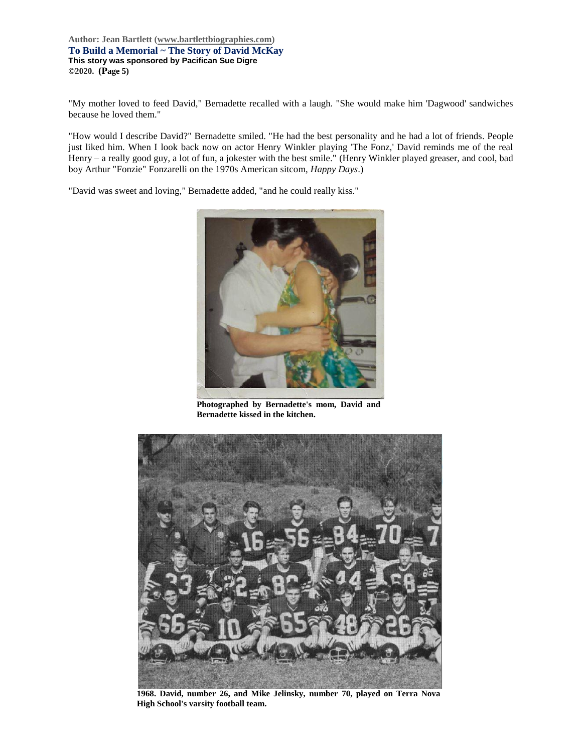## **Author: Jean Bartlett [\(www.bartlettbiographies.com\)](http://www.bartlettbiographies.com/) To Build a Memorial ~ The Story of David McKay This story was sponsored by Pacifican Sue Digre ©2020. (Page 5)**

"My mother loved to feed David," Bernadette recalled with a laugh. "She would make him 'Dagwood' sandwiches because he loved them."

"How would I describe David?" Bernadette smiled. "He had the best personality and he had a lot of friends. People just liked him. When I look back now on actor Henry Winkler playing 'The Fonz,' David reminds me of the real Henry – a really good guy, a lot of fun, a jokester with the best smile." (Henry Winkler played greaser, and cool, bad boy Arthur "Fonzie" Fonzarelli on the 1970s American sitcom, *Happy Days*.)

"David was sweet and loving," Bernadette added, "and he could really kiss."



**Photographed by Bernadette's mom, David and Bernadette kissed in the kitchen.**



**1968. David, number 26, and Mike Jelinsky, number 70, played on Terra Nova High School's varsity football team.**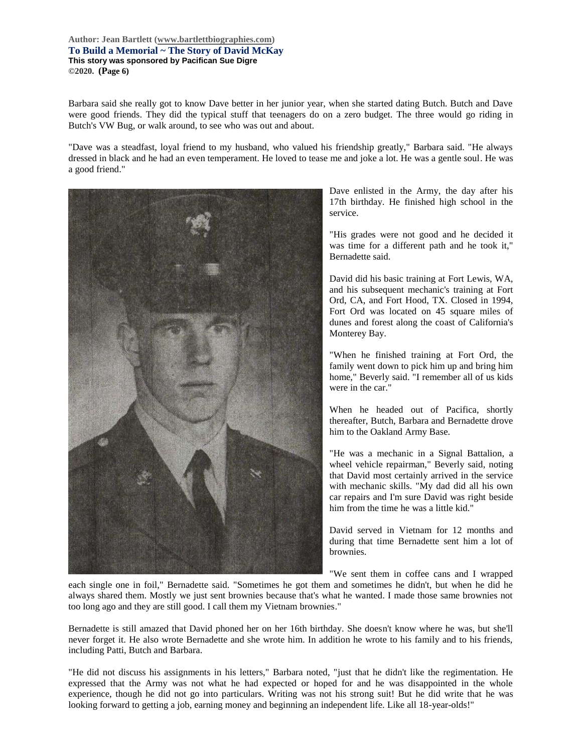**Author: Jean Bartlett [\(www.bartlettbiographies.com\)](http://www.bartlettbiographies.com/) To Build a Memorial ~ The Story of David McKay This story was sponsored by Pacifican Sue Digre ©2020. (Page 6)**

Barbara said she really got to know Dave better in her junior year, when she started dating Butch. Butch and Dave were good friends. They did the typical stuff that teenagers do on a zero budget. The three would go riding in Butch's VW Bug, or walk around, to see who was out and about.

"Dave was a steadfast, loyal friend to my husband, who valued his friendship greatly," Barbara said. "He always dressed in black and he had an even temperament. He loved to tease me and joke a lot. He was a gentle soul. He was a good friend."



Dave enlisted in the Army, the day after his 17th birthday. He finished high school in the service.

"His grades were not good and he decided it was time for a different path and he took it," Bernadette said.

David did his basic training at Fort Lewis, WA, and his subsequent mechanic's training at Fort Ord, CA, and Fort Hood, TX. Closed in 1994, Fort Ord was located on 45 square miles of dunes and forest along the coast of California's Monterey Bay.

"When he finished training at Fort Ord, the family went down to pick him up and bring him home," Beverly said. "I remember all of us kids were in the car."

When he headed out of Pacifica, shortly thereafter, Butch, Barbara and Bernadette drove him to the Oakland Army Base.

"He was a mechanic in a Signal Battalion, a wheel vehicle repairman," Beverly said, noting that David most certainly arrived in the service with mechanic skills. "My dad did all his own car repairs and I'm sure David was right beside him from the time he was a little kid."

David served in Vietnam for 12 months and during that time Bernadette sent him a lot of brownies.

"We sent them in coffee cans and I wrapped

each single one in foil," Bernadette said. "Sometimes he got them and sometimes he didn't, but when he did he always shared them. Mostly we just sent brownies because that's what he wanted. I made those same brownies not too long ago and they are still good. I call them my Vietnam brownies."

Bernadette is still amazed that David phoned her on her 16th birthday. She doesn't know where he was, but she'll never forget it. He also wrote Bernadette and she wrote him. In addition he wrote to his family and to his friends, including Patti, Butch and Barbara.

"He did not discuss his assignments in his letters," Barbara noted, "just that he didn't like the regimentation. He expressed that the Army was not what he had expected or hoped for and he was disappointed in the whole experience, though he did not go into particulars. Writing was not his strong suit! But he did write that he was looking forward to getting a job, earning money and beginning an independent life. Like all 18-year-olds!"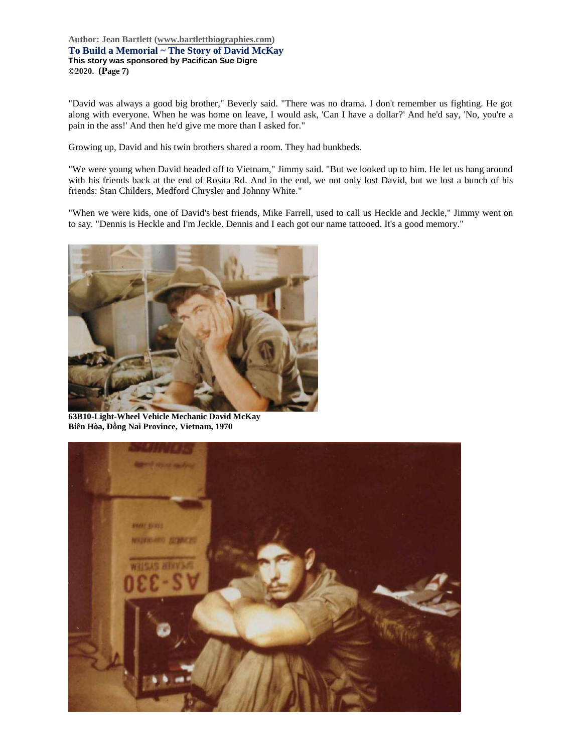**Author: Jean Bartlett [\(www.bartlettbiographies.com\)](http://www.bartlettbiographies.com/) To Build a Memorial ~ The Story of David McKay This story was sponsored by Pacifican Sue Digre ©2020. (Page 7)**

"David was always a good big brother," Beverly said. "There was no drama. I don't remember us fighting. He got along with everyone. When he was home on leave, I would ask, 'Can I have a dollar?' And he'd say, 'No, you're a pain in the ass!' And then he'd give me more than I asked for."

Growing up, David and his twin brothers shared a room. They had bunkbeds.

"We were young when David headed off to Vietnam," Jimmy said. "But we looked up to him. He let us hang around with his friends back at the end of Rosita Rd. And in the end, we not only lost David, but we lost a bunch of his friends: Stan Childers, Medford Chrysler and Johnny White."

"When we were kids, one of David's best friends, Mike Farrell, used to call us Heckle and Jeckle," Jimmy went on to say. "Dennis is Heckle and I'm Jeckle. Dennis and I each got our name tattooed. It's a good memory."



**63B10-Light-Wheel Vehicle Mechanic David McKay Biên Hòa, Đồng Nai Province, Vietnam, 1970**

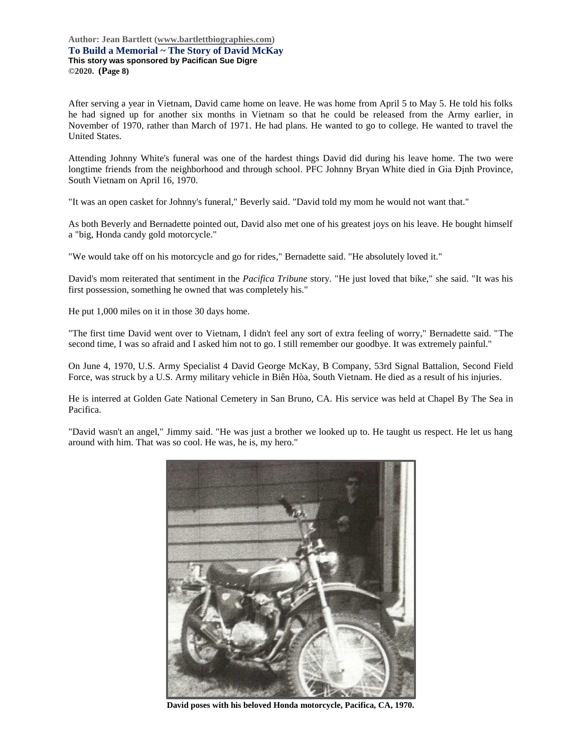After serving a year in Vietnam, David came home on leave. He was home from April 5 to May 5. He told his folks he had signed up for another six months in Vietnam so that he could be released from the Army earlier, in November of 1970, rather than March of 1971. He had plans. He wanted to go to college. He wanted to travel the United States.

Attending Johnny White's funeral was one of the hardest things David did during his leave home. The two were longtime friends from the neighborhood and through school. PFC Johnny Bryan White died in Gia Định Province, South Vietnam on April 16, 1970.

"It was an open casket for Johnny's funeral," Beverly said. "David told my mom he would not want that."

As both Beverly and Bernadette pointed out, David also met one of his greatest joys on his leave. He bought himself a "big, Honda candy gold motorcycle."

"We would take off on his motorcycle and go for rides," Bernadette said. "He absolutely loved it."

David's mom reiterated that sentiment in the *Pacifica Tribune* story. "He just loved that bike," she said. "It was his first possession, something he owned that was completely his."

He put 1,000 miles on it in those 30 days home.

"The first time David went over to Vietnam, I didn't feel any sort of extra feeling of worry," Bernadette said. "The second time, I was so afraid and I asked him not to go. I still remember our goodbye. It was extremely painful."

On June 4, 1970, U.S. Army Specialist 4 David George McKay, B Company, 53rd Signal Battalion, Second Field Force, was struck by a U.S. Army military vehicle in Biên Hòa, South Vietnam. He died as a result of his injuries.

He is interred at Golden Gate National Cemetery in San Bruno, CA. His service was held at Chapel By The Sea in Pacifica.

"David wasn't an angel," Jimmy said. "He was just a brother we looked up to. He taught us respect. He let us hang around with him. That was so cool. He was, he is, my hero."



**David poses with his beloved Honda motorcycle, Pacifica, CA, 1970.**